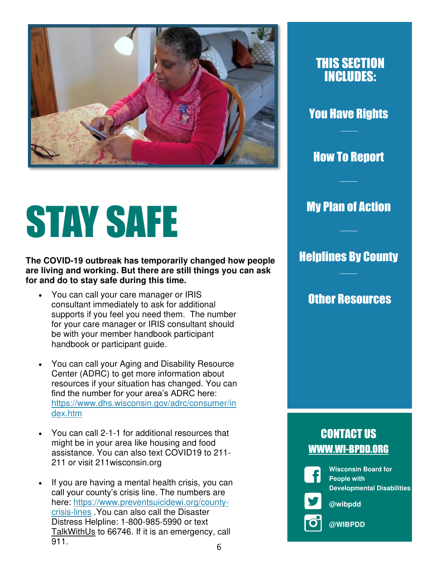

# STAY SAFE

**The COVID-19 outbreak has temporarily changed how people are living and working. But there are still things you can ask for and do to stay safe during this time.** 

- You can call your care manager or IRIS consultant immediately to ask for additional supports if you feel you need them. The number for your care manager or IRIS consultant should be with your member handbook participant handbook or participant guide.
- You can call your Aging and Disability Resource Center (ADRC) to get more information about resources if your situation has changed. You can find the number for your area's ADRC here: [https://www.dhs.wisconsin.gov/adrc/consumer/in](https://www.dhs.wisconsin.gov/adrc/consumer/index.htm) [dex.htm](https://www.dhs.wisconsin.gov/adrc/consumer/index.htm)
- You can call 2-1-1 for additional resources that might be in your area like housing and food assistance. You can also text COVID19 to 211- 211 or visit 211wisconsin.org
- If you are having a mental health crisis, you can call your county's crisis line. The numbers are here: [https://www.preventsuicidewi.org/county](https://www.preventsuicidewi.org/county-crisis-lines)[crisis-lines](https://www.preventsuicidewi.org/county-crisis-lines) .You can also call the Disaster Distress Helpline: 1-800-985-5990 or text TalkWithUs to 66746. If it is an emergency, call 911.

### THIS SECTION INCLUDES:

You Have Rights  $\overline{\phantom{a}}$ 

How To Report

 $\overline{\phantom{a}}$ 

My Plan of Action

 $\overline{\phantom{a}}$ 

Helplines By County  $\overline{\phantom{a}}$ 

Other Resources

### CONTACT US WWW.WI-BPDD.ORG

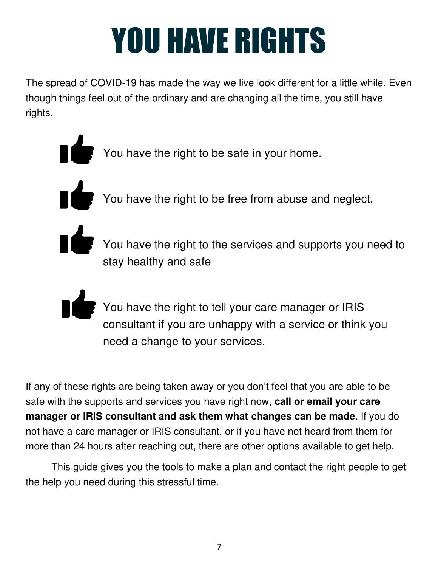# YOU HAVE RIGHTS

The spread of COVID-19 has made the way we live look different for a little while. Even though things feel out of the ordinary and are changing all the time, you still have rights.

- You have the right to be safe in your home.
- You have the right to be free from abuse and neglect.
- - You have the right to the services and supports you need to stay healthy and safe
	-
- You have the right to tell your care manager or IRIS consultant if you are unhappy with a service or think you need a change to your services.

If any of these rights are being taken away or you don't feel that you are able to be safe with the supports and services you have right now, **call or email your care manager or IRIS consultant and ask them what changes can be made**. If you do not have a care manager or IRIS consultant, or if you have not heard from them for more than 24 hours after reaching out, there are other options available to get help.

This guide gives you the tools to make a plan and contact the right people to get the help you need during this stressful time.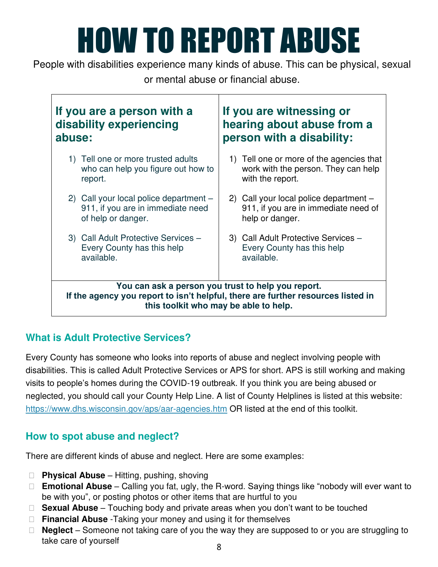# HOW TO REPORT ABUSE

People with disabilities experience many kinds of abuse. This can be physical, sexual or mental abuse or financial abuse.

| If you are a person with a<br>If you are witnessing or<br>disability experiencing<br>hearing about abuse from a<br>person with a disability:<br>abuse:                          |                                          |
|---------------------------------------------------------------------------------------------------------------------------------------------------------------------------------|------------------------------------------|
| 1) Tell one or more trusted adults                                                                                                                                              | 1) Tell one or more of the agencies that |
| who can help you figure out how to                                                                                                                                              | work with the person. They can help      |
| report.                                                                                                                                                                         | with the report.                         |
| 2) Call your local police department -                                                                                                                                          | 2) Call your local police department -   |
| 911, if you are in immediate need                                                                                                                                               | 911, if you are in immediate need of     |
| of help or danger.                                                                                                                                                              | help or danger.                          |
| 3) Call Adult Protective Services -                                                                                                                                             | 3) Call Adult Protective Services -      |
| Every County has this help                                                                                                                                                      | Every County has this help               |
| available.                                                                                                                                                                      | available.                               |
| You can ask a person you trust to help you report.<br>If the agency you report to isn't helpful, there are further resources listed in<br>this toolkit who may be able to help. |                                          |

### **What is Adult Protective Services?**

Every County has someone who looks into reports of abuse and neglect involving people with disabilities. This is called Adult Protective Services or APS for short. APS is still working and making visits to people's homes during the COVID-19 outbreak. If you think you are being abused or neglected, you should call your County Help Line. A list of County Helplines is listed at this website: <https://www.dhs.wisconsin.gov/aps/aar-agencies.htm> OR listed at the end of this toolkit.

### **How to spot abuse and neglect?**

There are different kinds of abuse and neglect. Here are some examples:

- □ **Physical Abuse** Hitting, pushing, shoving
- **Emotional Abuse**  Calling you fat, ugly, the R-word. Saying things like "nobody will ever want to be with you", or posting photos or other items that are hurtful to you
- □ **Sexual Abuse** Touching body and private areas when you don't want to be touched
- **Financial Abuse** -Taking your money and using it for themselves
- □ **Neglect** Someone not taking care of you the way they are supposed to or you are struggling to take care of yourself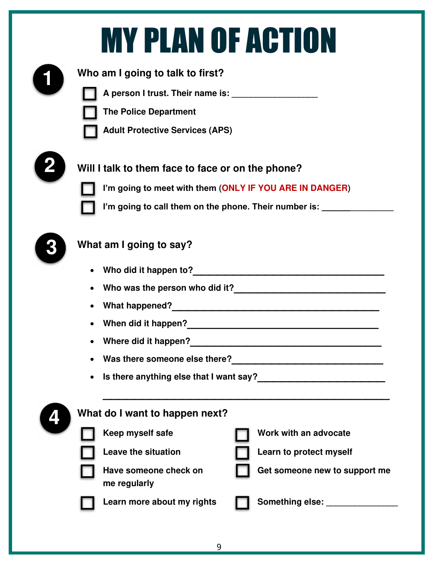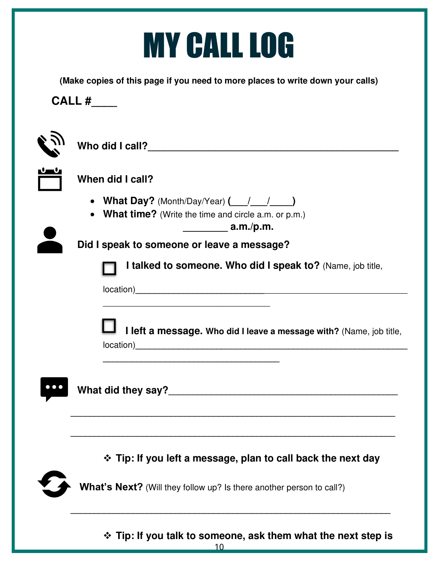# MY CALL LOG

**(Make copies of this page if you need to more places to write down your calls)**

**CALL #\_\_\_\_**

| When did I call?                                                                                                                    |
|-------------------------------------------------------------------------------------------------------------------------------------|
| • What Day? (Month/Day/Year) $($ / / )<br><b>What time?</b> (Write the time and circle $a.m.$ or $p.m.$ )<br>$\bullet$<br>a.m./p.m. |
| Did I speak to someone or leave a message?                                                                                          |
| I talked to someone. Who did I speak to? (Name, job title,                                                                          |
| I left a message. Who did I leave a message with? (Name, job title,                                                                 |
| ❖ Tip: If you left a message, plan to call back the next day                                                                        |
|                                                                                                                                     |
| What's Next? (Will they follow up? Is there another person to call?)                                                                |

❖ **Tip: If you talk to someone, ask them what the next step is**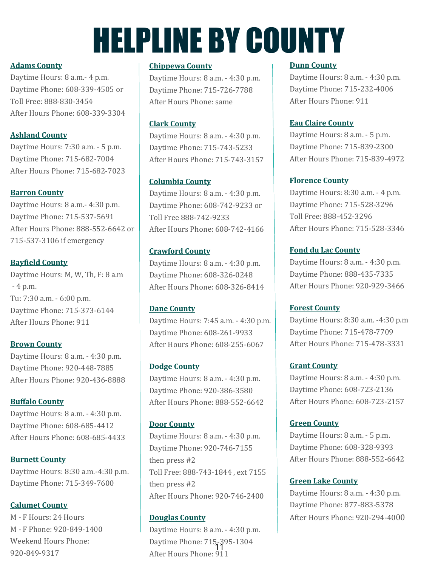# HELPLINE BY COUNTY

#### **[Adams County](https://www.dhs.wisconsin.gov/aps/Contacts/aaragencies.htm#Top)**

Daytime Hours: 8 a.m.- 4 p.m. Daytime Phone: 608-339-4505 or Toll Free: 888-830-3454 After Hours Phone: 608-339-3304

#### **[Ashland County](https://www.dhs.wisconsin.gov/aps/Contacts/aaragencies.htm#Top)**

Daytime Hours: 7:30 a.m. - 5 p.m. Daytime Phone: 715-682-7004 After Hours Phone: 715-682-7023

#### **[Barron County](https://www.dhs.wisconsin.gov/aps/Contacts/aaragencies.htm#Top)**

Daytime Hours: 8 a.m.- 4:30 p.m. Daytime Phone: 715-537-5691 After Hours Phone: 888-552-6642 or 715-537-3106 if emergency

#### **[Bayfield County](https://www.dhs.wisconsin.gov/aps/Contacts/aaragencies.htm#Top)**

Daytime Hours: M, W, Th, F: 8 a.m - 4 p.m. Tu: 7:30 a.m. - 6:00 p.m. Daytime Phone: 715-373-6144 After Hours Phone: 911

**[Brown County](https://www.dhs.wisconsin.gov/aps/Contacts/aaragencies.htm#Top)** Daytime Hours: 8 a.m. - 4:30 p.m. Daytime Phone: 920-448-7885 After Hours Phone: 920-436-8888

#### **[Buffalo County](https://www.dhs.wisconsin.gov/aps/Contacts/aaragencies.htm#Top)**

Daytime Hours: 8 a.m. - 4:30 p.m. Daytime Phone: 608-685-4412 After Hours Phone: 608-685-4433

**[Burnett County](https://www.dhs.wisconsin.gov/aps/Contacts/aaragencies.htm#Top)**  Daytime Hours: 8:30 a.m.-4:30 p.m. Daytime Phone: 715-349-7600

#### **[Calumet County](https://www.dhs.wisconsin.gov/aps/Contacts/aaragencies.htm#Top)**

M - F Hours: 24 Hours M - F Phone: 920-849-1400 Weekend Hours Phone: 920-849-9317

#### **[Chippewa County](https://www.dhs.wisconsin.gov/aps/Contacts/aaragencies.htm#Top)**

Daytime Hours: 8 a.m. - 4:30 p.m. Daytime Phone: 715-726-7788 After Hours Phone: same

#### **[Clark County](https://www.dhs.wisconsin.gov/aps/Contacts/aaragencies.htm#Top)**

Daytime Hours: 8 a.m. - 4:30 p.m. Daytime Phone: 715-743-5233 After Hours Phone: 715-743-3157

#### **[Columbia County](https://www.dhs.wisconsin.gov/aps/Contacts/aaragencies.htm#Top)**

Daytime Hours: 8 a.m. - 4:30 p.m. Daytime Phone: 608-742-9233 or Toll Free 888-742-9233 After Hours Phone: 608-742-4166

#### **[Crawford County](https://www.dhs.wisconsin.gov/aps/Contacts/aaragencies.htm#Top)**

Daytime Hours: 8 a.m. - 4:30 p.m. Daytime Phone: 608-326-0248 After Hours Phone: 608-326-8414

#### **[Dane County](https://www.dhs.wisconsin.gov/aps/Contacts/aaragencies.htm#Top)**

Daytime Hours: 7:45 a.m. - 4:30 p.m. Daytime Phone: 608-261-9933 After Hours Phone: 608-255-6067

#### **[Dodge County](https://www.dhs.wisconsin.gov/aps/Contacts/aaragencies.htm#Top)**

Daytime Hours: 8 a.m. - 4:30 p.m. Daytime Phone: 920-386-3580 After Hours Phone: 888-552-6642

#### **[Door County](https://www.dhs.wisconsin.gov/aps/Contacts/aaragencies.htm#Top)**

Daytime Hours: 8 a.m. - 4:30 p.m. Daytime Phone: 920-746-7155 then press #2 Toll Free: 888-743-1844 , ext 7155 then press #2 After Hours Phone: 920-746-2400

#### **[Douglas County](https://www.dhs.wisconsin.gov/aps/Contacts/aaragencies.htm#Top)**

Daytime Hours: 8 a.m. - 4:30 p.m. Daytime Phone: 715-395-1304 After Hours Phone: 911 11

#### **[Dunn County](https://www.dhs.wisconsin.gov/aps/Contacts/aaragencies.htm#Top)**

Daytime Hours: 8 a.m. - 4:30 p.m. Daytime Phone: 715-232-4006 After Hours Phone: 911

#### **[Eau Claire County](https://www.dhs.wisconsin.gov/aps/Contacts/aaragencies.htm#Top)**

Daytime Hours: 8 a.m. - 5 p.m. Daytime Phone: 715-839-2300 After Hours Phone: 715-839-4972

#### **[Florence County](https://www.dhs.wisconsin.gov/aps/Contacts/aaragencies.htm#Top)**

Daytime Hours: 8:30 a.m. - 4 p.m. Daytime Phone: 715-528-3296 Toll Free: 888-452-3296 After Hours Phone: 715-528-3346

#### **[Fond du Lac County](https://www.dhs.wisconsin.gov/aps/Contacts/aaragencies.htm#Top)**

Daytime Hours: 8 a.m. - 4:30 p.m. Daytime Phone: 888-435-7335 After Hours Phone: 920-929-3466

#### **[Forest County](https://www.dhs.wisconsin.gov/aps/Contacts/aaragencies.htm#Top)**

Daytime Hours: 8:30 a.m. -4:30 p.m Daytime Phone: 715-478-7709 After Hours Phone: 715-478-3331

#### **[Grant County](https://www.dhs.wisconsin.gov/aps/Contacts/aaragencies.htm#Top)**

Daytime Hours: 8 a.m. - 4:30 p.m. Daytime Phone: 608-723-2136 After Hours Phone: 608-723-2157

#### **[Green County](https://www.dhs.wisconsin.gov/aps/Contacts/aaragencies.htm#Top)**

Daytime Hours: 8 a.m. - 5 p.m. Daytime Phone: 608-328-9393 After Hours Phone: 888-552-6642

#### **[Green Lake County](https://www.dhs.wisconsin.gov/aps/Contacts/aaragencies.htm#Top)**

Daytime Hours: 8 a.m. - 4:30 p.m. Daytime Phone: 877-883-5378 After Hours Phone: 920-294-4000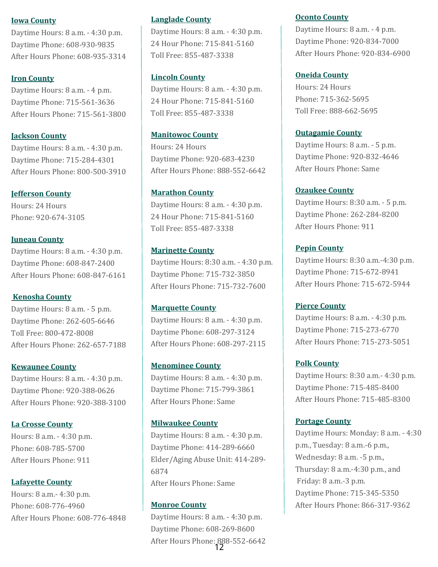#### **[Iowa County](https://www.dhs.wisconsin.gov/aps/Contacts/aaragencies.htm#Top)**

Daytime Hours: 8 a.m. - 4:30 p.m. Daytime Phone: 608-930-9835 After Hours Phone: 608-935-3314

#### **[Iron County](https://www.dhs.wisconsin.gov/aps/Contacts/aaragencies.htm#Top)**

Daytime Hours: 8 a.m. - 4 p.m. Daytime Phone: 715-561-3636 After Hours Phone: 715-561-3800

#### **[Jackson County](https://www.dhs.wisconsin.gov/aps/Contacts/aaragencies.htm#Top)**

Daytime Hours: 8 a.m. - 4:30 p.m. Daytime Phone: 715-284-4301 After Hours Phone: 800-500-3910

#### **[Jefferson County](https://www.dhs.wisconsin.gov/aps/Contacts/aaragencies.htm#Top)**

Hours: 24 Hours Phone: 920-674-3105

#### **[Juneau County](https://www.dhs.wisconsin.gov/aps/Contacts/aaragencies.htm#Top)**

Daytime Hours: 8 a.m. - 4:30 p.m. Daytime Phone: 608-847-2400 After Hours Phone: 608-847-6161

#### **[Kenosha County](https://www.dhs.wisconsin.gov/aps/Contacts/aaragencies.htm#Top)**

Daytime Hours: 8 a.m. - 5 p.m. Daytime Phone: 262-605-6646 Toll Free: 800-472-8008 After Hours Phone: 262-657-7188

#### **[Kewaunee County](https://www.dhs.wisconsin.gov/aps/Contacts/aaragencies.htm#Top)**

Daytime Hours: 8 a.m. - 4:30 p.m. Daytime Phone: 920-388-0626 After Hours Phone: 920-388-3100

#### **[La Crosse County](https://www.dhs.wisconsin.gov/aps/Contacts/aaragencies.htm#Top)**

Hours: 8 a.m. - 4:30 p.m. Phone: 608-785-5700 After Hours Phone: 911

#### **[Lafayette County](https://www.dhs.wisconsin.gov/aps/Contacts/aaragencies.htm#Top)**

Hours: 8 a.m.- 4:30 p.m. Phone: 608-776-4960 After Hours Phone: 608-776-4848

#### **[Langlade County](https://www.dhs.wisconsin.gov/aps/Contacts/aaragencies.htm#Top)**

Daytime Hours: 8 a.m. - 4:30 p.m. 24 Hour Phone: 715-841-5160 Toll Free: 855-487-3338

#### **[Lincoln County](https://www.dhs.wisconsin.gov/aps/Contacts/aaragencies.htm#Top)**

Daytime Hours: 8 a.m. - 4:30 p.m. 24 Hour Phone: 715-841-5160 Toll Free: 855-487-3338

#### **[Manitowoc County](https://www.dhs.wisconsin.gov/aps/Contacts/aaragencies.htm#Top)**

Hours: 24 Hours Daytime Phone: 920-683-4230 After Hours Phone: 888-552-6642

#### **[Marathon County](https://www.dhs.wisconsin.gov/aps/Contacts/aaragencies.htm#Top)**

Daytime Hours: 8 a.m. - 4:30 p.m. 24 Hour Phone: 715-841-5160 Toll Free: 855-487-3338

#### **[Marinette County](https://www.dhs.wisconsin.gov/aps/Contacts/aaragencies.htm#Top)**

Daytime Hours: 8:30 a.m. - 4:30 p.m. Daytime Phone: 715-732-3850 After Hours Phone: 715-732-7600

#### **[Marquette County](https://www.dhs.wisconsin.gov/aps/Contacts/aaragencies.htm#Top)**

Daytime Hours: 8 a.m. - 4:30 p.m. Daytime Phone: 608-297-3124 After Hours Phone: 608-297-2115

#### **[Menominee County](https://www.dhs.wisconsin.gov/aps/Contacts/aaragencies.htm#Top)**

Daytime Hours: 8 a.m. - 4:30 p.m. Daytime Phone: 715-799-3861 After Hours Phone: Same

#### **[Milwaukee County](https://www.dhs.wisconsin.gov/aps/Contacts/aaragencies.htm#Top)**

Daytime Hours: 8 a.m. - 4:30 p.m. Daytime Phone: 414-289-6660 Elder/Aging Abuse Unit: 414-289- 6874 After Hours Phone: Same

#### **[Monroe County](https://www.dhs.wisconsin.gov/aps/Contacts/aaragencies.htm#Top)**

Daytime Hours: 8 a.m. - 4:30 p.m. Daytime Phone: 608-269-8600 After Hours Phone: 888-552-6642 12

#### **[Oconto County](https://www.dhs.wisconsin.gov/aps/Contacts/aaragencies.htm#Top)**

Daytime Hours: 8 a.m. - 4 p.m. Daytime Phone: 920-834-7000 After Hours Phone: 920-834-6900

#### **[Oneida County](https://www.dhs.wisconsin.gov/aps/Contacts/aaragencies.htm#Top)**

Hours: 24 Hours Phone: 715-362-5695 Toll Free: 888-662-5695

#### **[Outagamie County](https://www.dhs.wisconsin.gov/aps/Contacts/aaragencies.htm#Top)**

Daytime Hours: 8 a.m. - 5 p.m. Daytime Phone: 920-832-4646 After Hours Phone: Same

#### **[Ozaukee County](https://www.dhs.wisconsin.gov/aps/Contacts/aaragencies.htm#Top)**

Daytime Hours: 8:30 a.m. - 5 p.m. Daytime Phone: 262-284-8200 After Hours Phone: 911

#### **[Pepin County](https://www.dhs.wisconsin.gov/aps/Contacts/aaragencies.htm#Top)**

Daytime Hours: 8:30 a.m.-4:30 p.m. Daytime Phone: 715-672-8941 After Hours Phone: 715-672-5944

#### **[Pierce County](https://www.dhs.wisconsin.gov/aps/Contacts/aaragencies.htm#Top)**

Daytime Hours: 8 a.m. - 4:30 p.m. Daytime Phone: 715-273-6770 After Hours Phone: 715-273-5051

#### **[Polk County](https://www.dhs.wisconsin.gov/aps/Contacts/aaragencies.htm#Top)**

Daytime Hours: 8:30 a.m.- 4:30 p.m. Daytime Phone: 715-485-8400 After Hours Phone: 715-485-8300

#### **[Portage County](https://www.dhs.wisconsin.gov/aps/Contacts/aaragencies.htm#Top)**

Daytime Hours: Monday: 8 a.m. - 4:30 p.m., Tuesday: 8 a.m.-6 p.m., Wednesday: 8 a.m. -5 p.m., Thursday: 8 a.m.-4:30 p.m., and Friday: 8 a.m.-3 p.m. Daytime Phone: 715-345-5350 After Hours Phone: 866-317-9362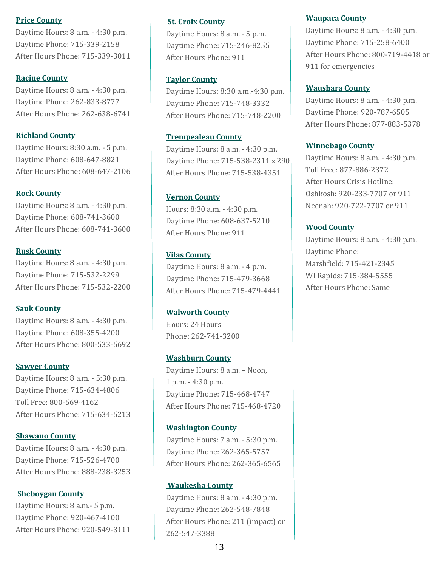#### **[Price County](https://www.dhs.wisconsin.gov/aps/Contacts/aaragencies.htm#Top)**

Daytime Hours: 8 a.m. - 4:30 p.m. Daytime Phone: 715-339-2158 After Hours Phone: 715-339-3011

#### **[Racine County](https://www.dhs.wisconsin.gov/aps/Contacts/aaragencies.htm#Top)**

Daytime Hours: 8 a.m. - 4:30 p.m. Daytime Phone: 262-833-8777 After Hours Phone: 262-638-6741

#### **[Richland County](https://www.dhs.wisconsin.gov/aps/Contacts/aaragencies.htm#Top)**

Daytime Hours: 8:30 a.m. - 5 p.m. Daytime Phone: 608-647-8821 After Hours Phone: 608-647-2106

#### **[Rock County](https://www.dhs.wisconsin.gov/aps/Contacts/aaragencies.htm#Top)**

Daytime Hours: 8 a.m. - 4:30 p.m. Daytime Phone: 608-741-3600 After Hours Phone: 608-741-3600

#### **[Rusk County](https://www.dhs.wisconsin.gov/aps/Contacts/aaragencies.htm#Top)**

Daytime Hours: 8 a.m. - 4:30 p.m. Daytime Phone: 715-532-2299 After Hours Phone: 715-532-2200

#### **[Sauk County](https://www.dhs.wisconsin.gov/aps/Contacts/aaragencies.htm#Top)**

Daytime Hours: 8 a.m. - 4:30 p.m. Daytime Phone: 608-355-4200 After Hours Phone: 800-533-5692

#### **[Sawyer County](https://www.dhs.wisconsin.gov/aps/Contacts/aaragencies.htm#Top)**

Daytime Hours: 8 a.m. - 5:30 p.m. Daytime Phone: 715-634-4806 Toll Free: 800-569-4162 After Hours Phone: 715-634-5213

#### **[Shawano County](https://www.dhs.wisconsin.gov/aps/Contacts/aaragencies.htm#Top)**

Daytime Hours: 8 a.m. - 4:30 p.m. Daytime Phone: 715-526-4700 After Hours Phone: 888-238-3253

#### **[Sheboygan County](https://www.dhs.wisconsin.gov/aps/Contacts/aaragencies.htm#Top)**

Daytime Hours: 8 a.m.- 5 p.m. Daytime Phone: 920-467-4100 After Hours Phone: 920-549-3111

#### **[St. Croix County](https://www.dhs.wisconsin.gov/aps/Contacts/aaragencies.htm#Top)**

Daytime Hours: 8 a.m. - 5 p.m. Daytime Phone: 715-246-8255 After Hours Phone: 911

#### **[Taylor County](https://www.dhs.wisconsin.gov/aps/Contacts/aaragencies.htm#Top)**

Daytime Hours: 8:30 a.m.-4:30 p.m. Daytime Phone: 715-748-3332 After Hours Phone: 715-748-2200

#### **[Trempealeau County](https://www.dhs.wisconsin.gov/aps/Contacts/aaragencies.htm#Top)**

Daytime Hours: 8 a.m. - 4:30 p.m. Daytime Phone: 715-538-2311 x 290 After Hours Phone: 715-538-4351

#### **[Vernon County](https://www.dhs.wisconsin.gov/aps/Contacts/aaragencies.htm#Top)**

Hours: 8:30 a.m. - 4:30 p.m. Daytime Phone: 608-637-5210 After Hours Phone: 911

#### **[Vilas County](https://www.dhs.wisconsin.gov/aps/Contacts/aaragencies.htm#Top)**

Daytime Hours: 8 a.m. - 4 p.m. Daytime Phone: 715-479-3668 After Hours Phone: 715-479-4441

#### **[Walworth County](https://www.dhs.wisconsin.gov/aps/Contacts/aaragencies.htm#Top)**

Hours: 24 Hours Phone: 262-741-3200

#### **[Washburn County](https://www.dhs.wisconsin.gov/aps/Contacts/aaragencies.htm#Top)**

Daytime Hours: 8 a.m. – Noon, 1 p.m. - 4:30 p.m. Daytime Phone: 715-468-4747 After Hours Phone: 715-468-4720

#### **[Washington County](https://www.dhs.wisconsin.gov/aps/Contacts/aaragencies.htm#Top)**

Daytime Hours: 7 a.m. - 5:30 p.m. Daytime Phone: 262-365-5757 After Hours Phone: 262-365-6565

#### **[Waukesha County](https://www.dhs.wisconsin.gov/aps/Contacts/aaragencies.htm#Top)**

Daytime Hours: 8 a.m. - 4:30 p.m. Daytime Phone: 262-548-7848 After Hours Phone: 211 (impact) or 262-547-3388

#### **[Waupaca County](https://www.dhs.wisconsin.gov/aps/Contacts/aaragencies.htm#Top)**

Daytime Hours: 8 a.m. - 4:30 p.m. Daytime Phone: 715-258-6400 After Hours Phone: 800-719-4418 or 911 for emergencies

#### **[Waushara County](https://www.dhs.wisconsin.gov/aps/Contacts/aaragencies.htm#Top)**

Daytime Hours: 8 a.m. - 4:30 p.m. Daytime Phone: 920-787-6505 After Hours Phone: 877-883-5378

#### **[Winnebago County](https://www.dhs.wisconsin.gov/aps/Contacts/aaragencies.htm#Top)**

Daytime Hours: 8 a.m. - 4:30 p.m. Toll Free: 877-886-2372 After Hours Crisis Hotline: Oshkosh: 920-233-7707 or 911 Neenah: 920-722-7707 or 911

#### **[Wood County](https://www.dhs.wisconsin.gov/aps/Contacts/aaragencies.htm#Top)**

Daytime Hours: 8 a.m. - 4:30 p.m. Daytime Phone: Marshfield: 715-421-2345 WI Rapids: 715-384-5555 After Hours Phone: Same